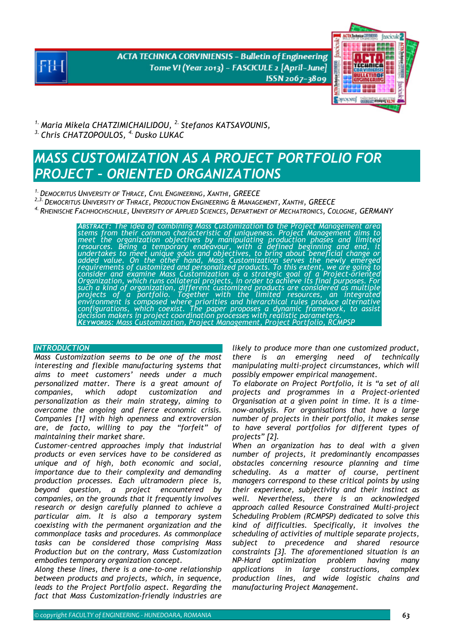**ACTA TECHNICA CORVINIENSIS - Bulletin of Engineering** Tome VI (Year 2013) - FASCICULE 2 [April-June] ISSN 2067-3809



*1. Maria Mikela CHATZIMICHAILIDOU, 2. Stefanos KATSAVOUNIS, 3. Chris CHATZOPOULOS, 4. Dusko LUKAC*

# *MASS CUSTOMIZATION AS A PROJECT PORTFOLIO FOR PROJECT – ORIENTED ORGANIZATIONS*

*1.DEMOCRITUS UNIVERSITY OF THRACE, CIVIL ENGINEERING, XANTHI, GREECE* 

*2,3.DEMOCRITUS UNIVERSITY OF THRACE, PRODUCTION ENGINEERING & MANAGEMENT, XANTHI, GREECE* 

*4. RHEINISCHE FACHHOCHSCHULE, UNIVERSITY OF APPLIED SCIENCES, DEPARTMENT OF MECHATRONICS, COLOGNE, GERMANY*

*ABSTRACT: The idea of combining Mass Customization to the Project Management area stems from their common characteristic of uniqueness. Project Management aims to meet the organization objectives by manipulating production phases and limited*  resources. Being a temporary endeavour, with a defined beginning and end, it<br>undertakes to meet unique goals and objectives, to bring about beneficial change or<br>added value. On the other hand, Mass Customization serves the *requirements of customized and personalized products. To this extent, we are going to consider and examine Mass Customization as a strategic goal of a Project-oriented Organization, which runs collateral projects, in order to achieve its final purposes. For such a kind of organization, different customized products are considered as multiple*  projects of a portfolio. Together with the limited resources, an integrated<br>environment is composed where priorities and hierarchical rules produce alternative configurations, which coexist. The paper proposes a dynamic framework, to assist<br>decision makers in project coordination processes with realistic parameters.<br>KEYWORDS: Mass Customization, Project Management, Project Portfo

# *INTRODUCTION*

*Mass Customization seems to be one of the most interesting and flexible manufacturing systems that aims to meet customers' needs under a much personalized matter. There is a great amount of companies, which adopt customization and personalization as their main strategy, aiming to overcome the ongoing and fierce economic crisis. Companies [1] with high openness and extroversion are, de facto, willing to pay the "forfeit" of maintaining their market share.* 

*Customer-centred approaches imply that industrial products or even services have to be considered as unique and of high, both economic and social, importance due to their complexity and demanding production processes. Each ultramodern piece is, beyond question, a project encountered by companies, on the grounds that it frequently involves research or design carefully planned to achieve a particular aim. It is also a temporary system coexisting with the permanent organization and the commonplace tasks and procedures. As commonplace tasks can be considered those comprising Mass Production but on the contrary, Mass Customization embodies temporary organization concept.* 

*Along these lines, there is a one-to-one relationship between products and projects, which, in sequence, leads to the Project Portfolio aspect. Regarding the fact that Mass Customization-friendly industries are* 

*likely to produce more than one customized product, there is an emerging need of technically manipulating multi-project circumstances, which will possibly empower empirical management.* 

*To elaborate on Project Portfolio, it is "a set of all projects and programmes in a Project-oriented Organisation at a given point in time. It is a timenow-analysis. For organisations that have a large number of projects in their portfolio, it makes sense to have several portfolios for different types of projects" [2].* 

*When an organization has to deal with a given number of projects, it predominantly encompasses obstacles concerning resource planning and time scheduling. As a matter of course, pertinent managers correspond to these critical points by using their experience, subjectivity and their instinct as well. Nevertheless, there is an acknowledged approach called Resource Constrained Multi-project Scheduling Problem (RCMPSP) dedicated to solve this kind of difficulties. Specifically, it involves the scheduling of activities of multiple separate projects, subject to precedence and shared resource constraints [3]. The aforementioned situation is an NP-Hard optimization problem having many applications in large constructions, complex production lines, and wide logistic chains and manufacturing Project Management.*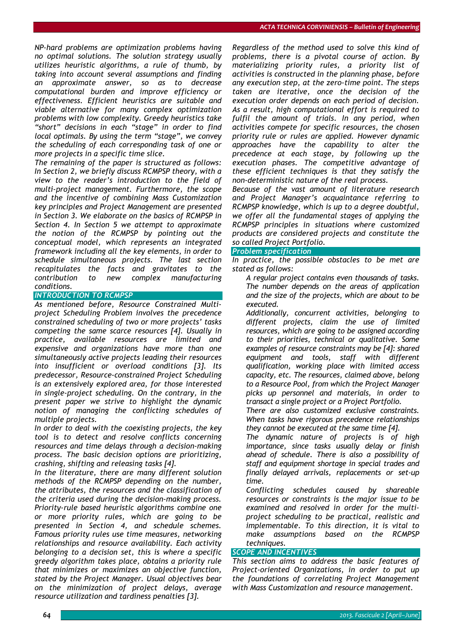*NP-hard problems are optimization problems having no optimal solutions. The solution strategy usually utilizes heuristic algorithms, a rule of thumb, by taking into account several assumptions and finding an approximate answer, so as to decrease computational burden and improve efficiency or effectiveness. Efficient heuristics are suitable and viable alternative for many complex optimization problems with low complexity. Greedy heuristics take "short" decisions in each "stage" in order to find local optimals. By using the term "stage", we convey the scheduling of each corresponding task of one or more projects in a specific time slice.* 

*The remaining of the paper is structured as follows: In Section 2, we briefly discuss RCMPSP theory, with a view to the reader's introduction to the field of multi-project management. Furthermore, the scope and the incentive of combining Mass Customization key principles and Project Management are presented in Section 3. We elaborate on the basics of RCMPSP in Section 4. In Section 5 we attempt to approximate the notion of the RCMPSP by pointing out the conceptual model, which represents an integrated framework including all the key elements, in order to schedule simultaneous projects. The last section recapitulates the facts and gravitates to the contribution to new complex manufacturing conditions.*

# *INTRODUCTION TO RCMPSP*

*As mentioned before, Resource Constrained Multiproject Scheduling Problem involves the precedence constrained scheduling of two or more projects' tasks competing the same scarce resources [4]. Usually in practice, available resources are limited and expensive and organizations have more than one simultaneously active projects leading their resources into insufficient or overload conditions [3]. Its predecessor, Resource-constrained Project Scheduling is an extensively explored area, for those interested in single-project scheduling. On the contrary, in the present paper we strive to highlight the dynamic notion of managing the conflicting schedules of multiple projects.* 

*In order to deal with the coexisting projects, the key tool is to detect and resolve conflicts concerning resources and time delays through a decision-making process. The basic decision options are prioritizing, crashing, shifting and releasing tasks [4].* 

*In the literature, there are many different solution methods of the RCMPSP depending on the number, the attributes, the resources and the classification of the criteria used during the decision-making process. Priority-rule based heuristic algorithms combine one or more priority rules, which are going to be presented in Section 4, and schedule schemes. Famous priority rules use time measures, networking relationships and resource availability. Each activity belonging to a decision set, this is where a specific greedy algorithm takes place, obtains a priority rule that minimizes or maximizes an objective function, stated by the Project Manager. Usual objectives bear on the minimization of project delays, average resource utilization and tardiness penalties [3].* 

*Regardless of the method used to solve this kind of problems, there is a pivotal course of action. By materializing priority rules, a priority list of activities is constructed in the planning phase, before any execution step, at the zero-time point. The steps taken are iterative, once the decision of the execution order depends on each period of decision. As a result, high computational effort is required to fulfil the amount of trials. In any period, when activities compete for specific resources, the chosen priority rule or rules are applied. However dynamic approaches have the capability to alter the precedence at each stage, by following up the execution phases. The competitive advantage of these efficient techniques is that they satisfy the non-deterministic nature of the real process.* 

*Because of the vast amount of literature research and Project Manager's acquaintance referring to RCMPSP knowledge, which is up to a degree doubtful, we offer all the fundamental stages of applying the RCMPSP principles in situations where customized products are considered projects and constitute the so called Project Portfolio.*

# *Problem specification*

*In practice, the possible obstacles to be met are stated as follows:* 

 *A regular project contains even thousands of tasks. The number depends on the areas of application and the size of the projects, which are about to be executed.* 

 *Additionally, concurrent activities, belonging to different projects, claim the use of limited resources, which are going to be assigned according to their priorities, technical or qualitative. Some examples of resource constraints may be [4]: shared equipment and tools, staff with different qualification, working place with limited access capacity, etc. The resources, claimed above, belong to a Resource Pool, from which the Project Manager picks up personnel and materials, in order to transact a single project or a Project Portfolio.* 

 *There are also customized exclusive constraints. When tasks have rigorous precedence relationships they cannot be executed at the same time [4].* 

 *The dynamic nature of projects is of high importance, since tasks usually delay or finish ahead of schedule. There is also a possibility of staff and equipment shortage in special trades and finally delayed arrivals, replacements or set-up time.* 

 *Conflicting schedules caused by shareable resources or constraints is the major issue to be examined and resolved in order for the multiproject scheduling to be practical, realistic and implementable. To this direction, it is vital to make assumptions based on the RCMPSP techniques.*

# *SCOPE AND INCENTIVES*

*This section aims to address the basic features of Project-oriented Organizations, in order to put up the foundations of correlating Project Management with Mass Customization and resource management.*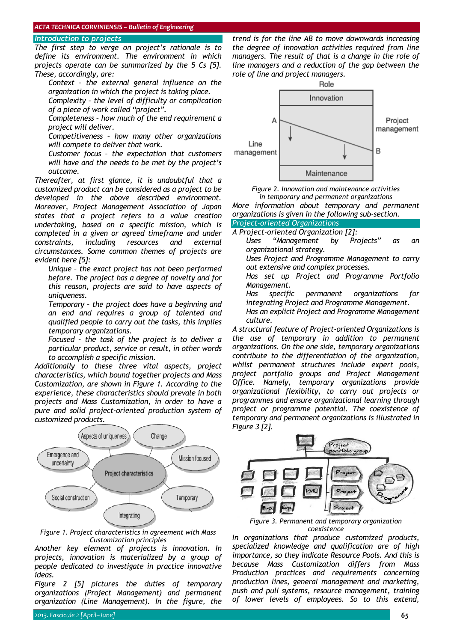# *Introduction to projects*

*The first step to verge on project's rationale is to define its environment. The environment in which projects operate can be summarized by the 5 Cs [5]. These, accordingly, are:* 

 *Context – the external general influence on the organization in which the project is taking place.* 

 *Complexity – the level of difficulty or complication of a piece of work called "project".* 

 *Completeness – how much of the end requirement a project will deliver.* 

 *Competitiveness – how many other organizations will compete to deliver that work.* 

 *Customer focus – the expectation that customers will have and the needs to be met by the project's outcome.* 

*Thereafter, at first glance, it is undoubtful that a customized product can be considered as a project to be developed in the above described environment. Moreover, Project Management Association of Japan states that a project refers to a value creation undertaking, based on a specific mission, which is completed in a given or agreed timeframe and under constraints, including resources and external circumstances. Some common themes of projects are evident here [5]:* 

 *Unique – the exact project has not been performed before. The project has a degree of novelty and for this reason, projects are said to have aspects of uniqueness.* 

 *Temporary – the project does have a beginning and an end and requires a group of talented and qualified people to carry out the tasks, this implies temporary organizations.* 

 *Focused – the task of the project is to deliver a particular product, service or result, in other words to accomplish a specific mission.* 

*Additionally to these three vital aspects, project characteristics, which bound together projects and Mass Customization, are shown in Figure 1. According to the experience, these characteristics should prevale in both projects and Mass Customization, in order to have a pure and solid project-oriented production system of customized products.* 



*Figure 1. Project characteristics in agreement with Mass Customization principles* 

*Another key element of projects is innovation. In projects, innovation is materialized by a group of people dedicated to investigate in practice innovative ideas.* 

*Figure 2 [5] pictures the duties of temporary organizations (Project Management) and permanent organization (Line Management). In the figure, the* 

*trend is for the line AB to move downwards increasing the degree of innovation activities required from line managers. The result of that is a change in the role of line managers and a reduction of the gap between the role of line and project managers.* 



*Figure 2. Innovation and maintenance activities in temporary and permanent organizations More information about temporary and permanent* 

# *organizations is given in the following sub-section. Project-oriented Organizations*

*A Project-oriented Organization [2]:* 

- *Uses "Management by Projects" as an organizational strategy.* 
	- *Uses Project and Programme Management to carry out extensive and complex processes.*
	- *Has set up Project and Programme Portfolio Management.*

 *Has specific permanent organizations for integrating Project and Programme Management.* 

 *Has an explicit Project and Programme Management culture.* 

*A structural feature of Project-oriented Organizations is the use of temporary in addition to permanent organizations. On the one side, temporary organizations contribute to the differentiation of the organization, whilst permanent structures include expert pools, project portfolio groups and Project Management Office. Namely, temporary organizations provide organizational flexibility, to carry out projects or programmes and ensure organizational learning through project or programme potential. The coexistence of temporary and permanent organizations is illustrated in Figure 3 [2].* 



*Figure 3. Permanent and temporary organization coexistence* 

*In organizations that produce customized products, specialized knowledge and qualification are of high importance, so they indicate Resource Pools. And this is because Mass Customization differs from Mass Production practices and requirements concerning production lines, general management and marketing, push and pull systems, resource management, training of lower levels of employees. So to this extend,*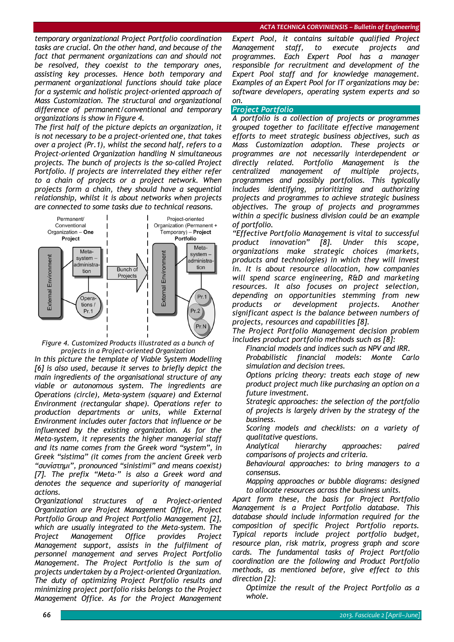*temporary organizational Project Portfolio coordination tasks are crucial. On the other hand, and because of the fact that permanent organizations can and should not be resolved, they coexist to the temporary ones, assisting key processes. Hence both temporary and permanent organizational functions should take place for a systemic and holistic project-oriented approach of Mass Customization. The structural and organizational difference of permanent/conventional and temporary organizations is show in Figure 4.* 

*The first half of the picture depicts an organization, it is not necessary to be a project-oriented one, that takes over a project (Pr.1), whilst the second half, refers to a Project-oriented Organization handling N simultaneous projects. The bunch of projects is the so-called Project Portfolio. If projects are interrelated they either refer to a chain of projects or a project network. When projects form a chain, they should have a sequential relationship, whilst it is about networks when projects are connected to some tasks due to technical reasons.* 



*Figure 4. Customized Products illustrated as a bunch of projects in a Project-oriented Organization* 

*In this picture the template of Viable System Modelling [6] is also used, because it serves to briefly depict the main ingredients of the organisational structure of any viable or autonomous system. The ingredients are Operations (circle), Meta-system (square) and External Environment (rectangular shape). Operations refer to production departments or units, while External Environment includes outer factors that influence or be influenced by the existing organization. As for the Meta-system, it represents the higher managerial staff and its name comes from the Greek word "system", in Greek "sistima" (it comes from the ancient Greek verb "συνίστημι", pronounced "sinistimi" and means coexist) [7]. The prefix "Meta-" is also a Greek word and denotes the sequence and superiority of managerial actions.* 

*Organizational structures of a Project-oriented Organization are Project Management Office, Project Portfolio Group and Project Portfolio Management [2], which are usually integrated to the Meta-system. The Project Management Office provides Project Management support, assists in the fulfilment of personnel management and serves Project Portfolio Management. The Project Portfolio is the sum of projects undertaken by a Project-oriented Organization. The duty of optimizing Project Portfolio results and minimizing project portfolio risks belongs to the Project Management Office. As for the Project Management* 

*Expert Pool, it contains suitable qualified Project Management staff, to execute projects and programmes. Each Expert Pool has a manager responsible for recruitment and development of the Expert Pool staff and for knowledge management. Examples of an Expert Pool for IT organizations may be: software developers, operating system experts and so on.*

# *Project Portfolio*

*A portfolio is a collection of projects or programmes grouped together to facilitate effective management efforts to meet strategic business objectives, such as Mass Customization adoption. These projects or programmes are not necessarily interdependent or directly related. Portfolio Management is the centralized management of multiple projects, programmes and possibly portfolios. This typically includes identifying, prioritizing and authorizing projects and programmes to achieve strategic business objectives. The group of projects and programmes within a specific business division could be an example of portfolio.* 

*"Effective Portfolio Management is vital to successful product innovation" [8]. Under this scope, organizations make strategic choices (markets, products and technologies) in which they will invest in. It is about resource allocation, how companies will spend scarce engineering, R&D and marketing resources. It also focuses on project selection, depending on opportunities stemming from new products or development projects. Another significant aspect is the balance between numbers of projects, resources and capabilities [8].* 

*The Project Portfolio Management decision problem includes product portfolio methods such as [8]:* 

*Financial models and indices such as NPV and IRR.* 

 *Probabilistic financial models: Monte Carlo simulation and decision trees.* 

 *Options pricing theory: treats each stage of new product project much like purchasing an option on a future investment.* 

 *Strategic approaches: the selection of the portfolio of projects is largely driven by the strategy of the business.* 

 *Scoring models and checklists: on a variety of qualitative questions.* 

 *Analytical hierarchy approaches: paired comparisons of projects and criteria.* 

 *Behavioural approaches: to bring managers to a consensus.* 

 *Mapping approaches or bubble diagrams: designed to allocate resources across the business units.* 

*Apart form these, the basis for Project Portfolio Management is a Project Portfolio database. This database should include information required for the composition of specific Project Portfolio reports. Typical reports include project portfolio budget, resource plan, risk matrix, progress graph and score cards. The fundamental tasks of Project Portfolio coordination are the following and Product Portfolio methods, as mentioned before, give effect to this direction [2]:* 

 *Optimize the result of the Project Portfolio as a whole.*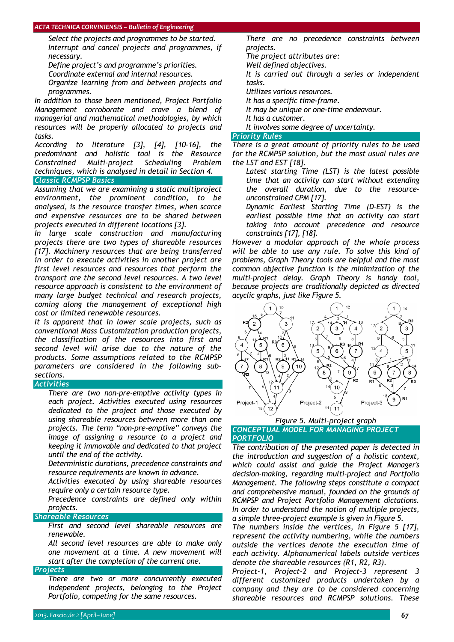#### *ACTA TECHNICA CORVINIENSIS – Bulletin of Engineering*

 *Select the projects and programmes to be started. Interrupt and cancel projects and programmes, if necessary.* 

*Define project's and programme's priorities.* 

*Coordinate external and internal resources.* 

 *Organize learning from and between projects and programmes.* 

*In addition to those been mentioned, Project Portfolio Management corroborate and crave a blend of managerial and mathematical methodologies, by which resources will be properly allocated to projects and tasks.* 

*According to literature [3], [4], [10-16], the predominant and holistic tool is the Resource Constrained Multi-project Scheduling Problem techniques, which is analysed in detail in Section 4. Classic RCMPSP Basics*

*Assuming that we are examining a static multiproject environment, the prominent condition, to be analysed, is the resource transfer times, when scarce and expensive resources are to be shared between projects executed in different locations [3].* 

*In large scale construction and manufacturing projects there are two types of shareable resources [17]. Machinery resources that are being transferred in order to execute activities in another project are first level resources and resources that perform the transport are the second level resources. A two level resource approach is consistent to the environment of many large budget technical and research projects, coming along the management of exceptional high cost or limited renewable resources.* 

*It is apparent that in lower scale projects, such as conventional Mass Customization production projects, the classification of the resources into first and second level will arise due to the nature of the products. Some assumptions related to the RCMPSP parameters are considered in the following subsections.*

*Activities*

 *There are two non-pre-emptive activity types in each project. Activities executed using resources dedicated to the project and those executed by using shareable resources between more than one projects. The term "non-pre-emptive" conveys the image of assigning a resource to a project and keeping it immovable and dedicated to that project until the end of the activity.* 

 *Deterministic durations, precedence constraints and resource requirements are known in advance.* 

 *Activities executed by using shareable resources require only a certain resource type.* 

 *Precedence constraints are defined only within projects.*

# *Shareable Resources*

 *First and second level shareable resources are renewable.* 

 *All second level resources are able to make only one movement at a time. A new movement will start after the completion of the current one.* 

#### *Projects*

 *There are two or more concurrently executed independent projects, belonging to the Project Portfolio, competing for the same resources.* 

 *There are no precedence constraints between projects.* 

*The project attributes are:* 

*Well defined objectives.* 

 *It is carried out through a series or independent tasks.* 

*Utilizes various resources.* 

*It has a specific time-frame.* 

*It may be unique or one-time endeavour.* 

*It has a customer.* 

*It involves some degree of uncertainty.* 

#### *Priority Rules*

*There is a great amount of priority rules to be used for the RCMPSP solution, but the most usual rules are the LST and EST [18].* 

 *Latest starting Time (LST) is the latest possible time that an activity can start without extending the overall duration, due to the resourceunconstrained CPM [17].* 

 *Dynamic Earliest Starting Time (D-EST) is the earliest possible time that an activity can start taking into account precedence and resource constraints [17], [18].* 

*However a modular approach of the whole process will be able to use any rule. To solve this kind of problems, Graph Theory tools are helpful and the most common objective function is the minimization of the multi-project delay. Graph Theory is handy tool, because projects are traditionally depicted as directed acyclic graphs, just like Figure 5.* 



# *Figure 5. Multi-project graph CONCEPTUAL MODEL FOR MANAGING PROJECT*

*PORTFOLIO*

*The contribution of the presented paper is detected in the introduction and suggestion of a holistic context, which could assist and guide the Project Manager's decision-making, regarding multi-project and Portfolio Management. The following steps constitute a compact and comprehensive manual, founded on the grounds of RCMPSP and Project Portfolio Management dictations. In order to understand the notion of multiple projects, a simple three-project example is given in Figure 5.* 

*The numbers inside the vertices, in Figure 5 [17], represent the activity numbering, while the numbers outside the vertices denote the execution time of each activity. Alphanumerical labels outside vertices denote the shareable resources (R1, R2, R3).* 

*Project-1, Project-2 and Project-3 represent 3 different customized products undertaken by a company and they are to be considered concerning shareable resources and RCMPSP solutions. These*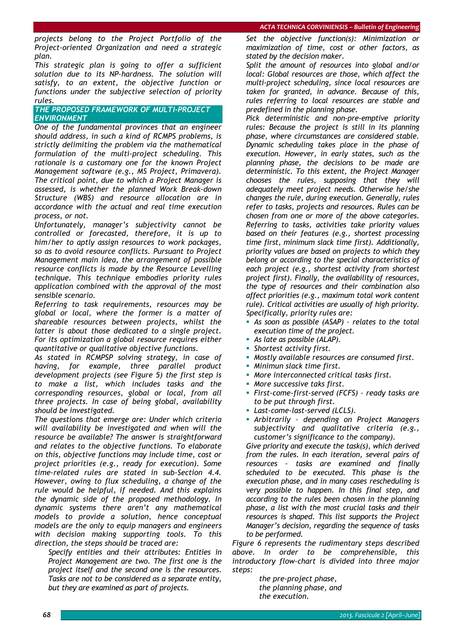*projects belong to the Project Portfolio of the Project-oriented Organization and need a strategic plan.* 

*This strategic plan is going to offer a sufficient solution due to its NP-hardness. The solution will satisfy, to an extent, the objective function or functions under the subjective selection of priority rules.*

# *THE PROPOSED FRAMEWORK OF MULTI-PROJECT ENVIRONMENT*

*One of the fundamental provinces that an engineer should address, in such a kind of RCMPS problems, is strictly delimiting the problem via the mathematical formulation of the multi-project scheduling. This rationale is a customary one for the known Project Management software (e.g., MS Project, Primavera). The critical point, due to which a Project Manager is assessed, is whether the planned Work Break-down Structure (WBS) and resource allocation are in accordance with the actual and real time execution process, or not.* 

*Unfortunately, manager's subjectivity cannot be controlled or forecasted, therefore, it is up to him/her to aptly assign resources to work packages, so as to avoid resource conflicts. Pursuant to Project Management main idea, the arrangement of possible resource conflicts is made by the Resource Levelling technique. This technique embodies priority rules application combined with the approval of the most sensible scenario.* 

*Referring to task requirements, resources may be global or local, where the former is a matter of shareable resources between projects, whilst the latter is about those dedicated to a single project. For its optimization a global resource requires either quantitative or qualitative objective functions.* 

*As stated in RCMPSP solving strategy, in case of having, for example, three parallel product development projects (see Figure 5) the first step is to make a list, which includes tasks and the corresponding resources, global or local, from all three projects. In case of being global, availability should be investigated.* 

*The questions that emerge are: Under which criteria will availability be investigated and when will the resource be available? The answer is straightforward and relates to the objective functions. To elaborate on this, objective functions may include time, cost or project priorities (e.g., ready for execution). Some time-related rules are stated in sub-Section 4.4. However, owing to flux scheduling, a change of the rule would be helpful, if needed. And this explains the dynamic side of the proposed methodology. In dynamic systems there aren't any mathematical models to provide a solution, hence conceptual models are the only to equip managers and engineers with decision making supporting tools. To this direction, the steps should be traced are:* 

 *Specify entities and their attributes: Entities in Project Management are two. The first one is the project itself and the second one is the resources. Tasks are not to be considered as a separate entity, but they are examined as part of projects.* 

 *Set the objective function(s): Minimization or maximization of time, cost or other factors, as stated by the decision maker.* 

 *Split the amount of resources into global and/or local: Global resources are those, which affect the multi-project scheduling, since local resources are taken for granted, in advance. Because of this, rules referring to local resources are stable and predefined in the planning phase.* 

 *Pick deterministic and non-pre-emptive priority rules: Because the project is still in its planning phase, where circumstances are considered stable. Dynamic scheduling takes place in the phase of execution. However, in early states, such as the planning phase, the decisions to be made are deterministic. To this extent, the Project Manager chooses the rules, supposing that they will adequately meet project needs. Otherwise he/she changes the rule, during execution. Generally, rules refer to tasks, projects and resources. Rules can be chosen from one or more of the above categories. Referring to tasks, activities take priority values based on their features (e.g., shortest processing time first, minimum slack time first). Additionally, priority values are based on projects to which they belong or according to the special characteristics of each project (e.g., shortest activity from shortest project first). Finally, the availability of resources, the type of resources and their combination also affect priorities (e.g., maximum total work content rule). Critical activities are usually of high priority. Specifically, priority rules are:* 

- *As soon as possible (ASAP) relates to the total execution time of the project.*
- *As late as possible (ALAP).*
- *Shortest activity first.*
- *Mostly available resources are consumed first.*
- *Minimun slack time first.*
- *More interconnected critical tasks first.*
- *More successive taks first.*
- *First-come-first-served (FCFS) ready tasks are to be put through first.*
- *Last-come-last-served (LCLS).*
- *Arbitrarily depending on Project Managers subjectivity and qualitative criteria (e.g., customer's significance to the company).*

 *Give priority and execute the task(s), which derived from the rules. In each iteration, several pairs of resources – tasks are examined and finally scheduled to be executed. This phase is the execution phase, and in many cases rescheduling is very possible to happen. In this final step, and according to the rules been chosen in the planning phase, a list with the most crucial tasks and their resources is shaped. This list supports the Project Manager's decision, regarding the sequence of tasks to be performed.* 

*Figure 6 represents the rudimentary steps described above. In order to be comprehensible, this introductory flow-chart is divided into three major steps:* 

 *the pre-project phase, the planning phase, and the execution.*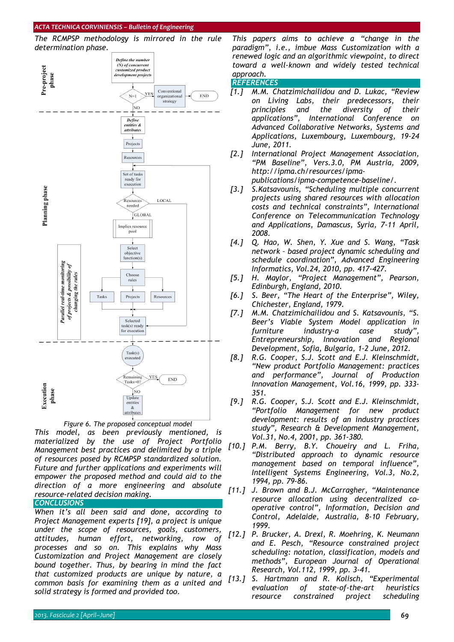#### *ACTA TECHNICA CORVINIENSIS – Bulletin of Engineering*



*materialized by the use of Project Portfolio Management best practices and delimited by a triple* 

*Figure 6. The proposed conceptual model This model, as been previously mentioned, is* 

*of resources posed by RCMPSP standardized solution. Future and further applications and experiments will empower the proposed method and could aid to the direction of a more engineering and absolute resource-related decision making.*

# *CONCLUSIONS*

*When it's all been said and done, according to Project Management experts [19], a project is unique under the scope of resources, goals, customers, attitudes, human effort, networking, row of processes and so on. This explains why Mass Customization and Project Management are closely bound together. Thus, by bearing in mind the fact that customized products are unique by nature, a common basis for examining them as a united and solid strategy is formed and provided too.* 

*This papers aims to achieve a "change in the paradigm", i.e., imbue Mass Customization with a renewed logic and an algorithmic viewpoint, to direct toward a well-known and widely tested technical approach.* 

#### *REFERENCES*

- *[1.] M.M. Chatzimichailidou and D. Lukac, "Review on Living Labs, their predecessors, their principles and the diversity of their applications", International Conference on Advanced Collaborative Networks, Systems and Applications, Luxembourg, Luxembourg, 19-24 June, 2011.*
- *[2.] International Project Management Association, "PM Baseline", Vers.3.0, PM Austria, 2009, http://ipma.ch/resources/ipmapublications/ipma-competence-baseline/.*
- *[3.] S.Katsavounis, "Scheduling multiple concurrent projects using shared resources with allocation costs and technical constraints", International Conference on Telecommunication Technology and Applications, Damascus, Syria, 7-11 April, 2008.*
- *[4.] Q. Hao, W. Shen, Y. Xue and S. Wang, "Task network – based project dynamic scheduling and schedule coordination", Advanced Engineering Informatics, Vol.24, 2010, pp. 417-427.*
- *[5.] H. Maylor, "Project Management", Pearson, Edinburgh, England, 2010.*
- *[6.] S. Beer, "The Heart of the Enterprise", Wiley, Chichester, England, 1979.*
- *[7.] M.M. Chatzimichailidou and S. Katsavounis, "S. Beer's Viable System Model application in furniture industry-a case study", Entrepreneurship, Innovation and Regional Development, Sofia, Bulgaria, 1-2 June, 2012.*
- *[8.] R.G. Cooper, S.J. Scott and E.J. Kleinschmidt, "New product Portfolio Management: practices and performance", Journal of Production Innovation Management, Vol.16, 1999, pp. 333- 351.*
- *[9.] R.G. Cooper, S.J. Scott and E.J. Kleinschmidt, "Portfolio Management for new product development: results of an industry practices study", Research & Development Management, Vol.31, No.4, 2001, pp. 361-380.*
- *[10.] P.M. Berry, B.Y. Choueiry and L. Friha, "Distributed approach to dynamic resource management based on temporal influence", Intelligent Systems Engineering, Vol.3, No.2, 1994, pp. 79-86.*
- *[11.] J. Brown and B.J. McCarragher, "Maintenance resource allocation using decentralized cooperative control", Information, Decision and Control, Adelaide, Australia, 8-10 February, 1999.*
- *[12.] P. Brucker, A. Drexl, R. Moehring, K. Neumann and E. Pesch, "Resource constrained project scheduling: notation, classification, models and methods", European Journal of Operational Research, Vol.112, 1999, pp. 3-41.*
- *[13.] S. Hartmann and R. Kolisch, "Experimental evaluation of state-of-the-art heuristics resource constrained project scheduling*